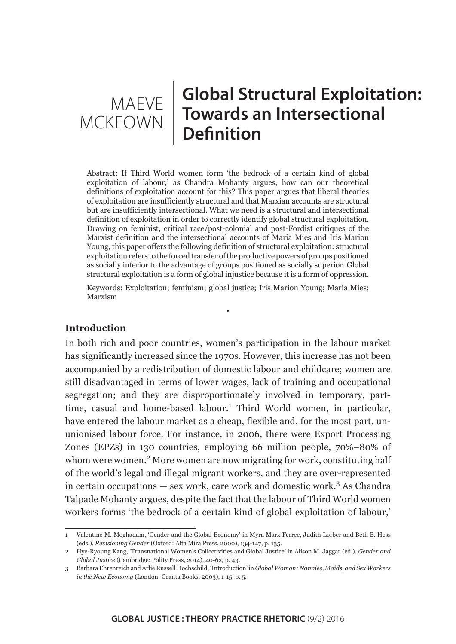# **Global Structural Exploitation: Towards an Intersectional Definition** MAEVE MCKEOWN

Abstract: If Third World women form 'the bedrock of a certain kind of global exploitation of labour,' as Chandra Mohanty argues, how can our theoretical definitions of exploitation account for this? This paper argues that liberal theories of exploitation are insufficiently structural and that Marxian accounts are structural but are insufficiently intersectional. What we need is a structural and intersectional definition of exploitation in order to correctly identify global structural exploitation. Drawing on feminist, critical race/post-colonial and post-Fordist critiques of the Marxist definition and the intersectional accounts of Maria Mies and Iris Marion Young, this paper offers the following definition of structural exploitation: structural exploitation refers to the forced transfer of the productive powers of groups positioned as socially inferior to the advantage of groups positioned as socially superior. Global structural exploitation is a form of global injustice because it is a form of oppression.

Keywords: Exploitation; feminism; global justice; Iris Marion Young; Maria Mies; Marxism

•

# **Introduction**

In both rich and poor countries, women's participation in the labour market has significantly increased since the 1970s. However, this increase has not been accompanied by a redistribution of domestic labour and childcare; women are still disadvantaged in terms of lower wages, lack of training and occupational segregation; and they are disproportionately involved in temporary, parttime, casual and home-based labour.<sup>1</sup> Third World women, in particular, have entered the labour market as a cheap, flexible and, for the most part, ununionised labour force. For instance, in 2006, there were Export Processing Zones (EPZs) in 130 countries, employing 66 million people, 70%–80% of whom were women.<sup>2</sup> More women are now migrating for work, constituting half of the world's legal and illegal migrant workers, and they are over-represented in certain occupations  $-$  sex work, care work and domestic work.<sup>3</sup> As Chandra Talpade Mohanty argues, despite the fact that the labour of Third World women workers forms 'the bedrock of a certain kind of global exploitation of labour,'

<sup>1</sup> Valentine M. Moghadam, 'Gender and the Global Economy' in Myra Marx Ferree, Judith Lorber and Beth B. Hess (eds.), *Revisioning Gender* (Oxford: Alta Mira Press, 2000), 134-147, p. 135.

<sup>2</sup> Hye-Ryoung Kang, 'Transnational Women's Collectivities and Global Justice' in Alison M. Jaggar (ed.), *Gender and Global Justice* (Cambridge: Polity Press, 2014), 40-62, p. 43.

<sup>3</sup> Barbara Ehrenreich and Arlie Russell Hochschild, 'Introduction' in *Global Woman: Nannies, Maids, and Sex Workers in the New Economy* (London: Granta Books, 2003), 1-15, p. 5.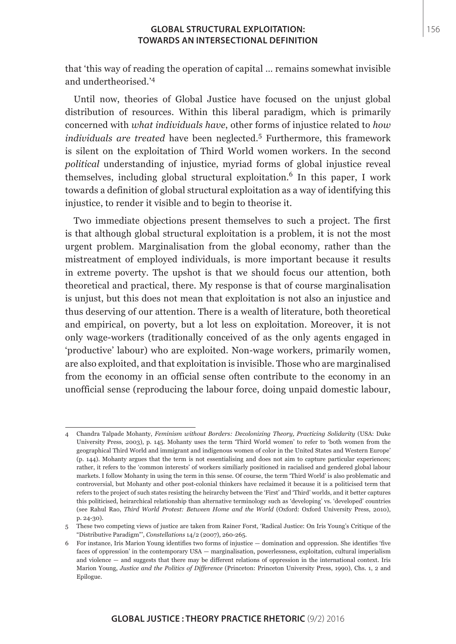that 'this way of reading the operation of capital … remains somewhat invisible and undertheorised.'<sup>4</sup>

Until now, theories of Global Justice have focused on the unjust global distribution of resources. Within this liberal paradigm, which is primarily concerned with *what individuals have*, other forms of injustice related to *how individuals are treated* have been neglected.<sup>5</sup> Furthermore, this framework is silent on the exploitation of Third World women workers. In the second *political* understanding of injustice, myriad forms of global injustice reveal themselves, including global structural exploitation.<sup>6</sup> In this paper, I work towards a definition of global structural exploitation as a way of identifying this injustice, to render it visible and to begin to theorise it.

Two immediate objections present themselves to such a project. The first is that although global structural exploitation is a problem, it is not the most urgent problem. Marginalisation from the global economy, rather than the mistreatment of employed individuals, is more important because it results in extreme poverty. The upshot is that we should focus our attention, both theoretical and practical, there. My response is that of course marginalisation is unjust, but this does not mean that exploitation is not also an injustice and thus deserving of our attention. There is a wealth of literature, both theoretical and empirical, on poverty, but a lot less on exploitation. Moreover, it is not only wage-workers (traditionally conceived of as the only agents engaged in 'productive' labour) who are exploited. Non-wage workers, primarily women, are also exploited, and that exploitation is invisible. Those who are marginalised from the economy in an official sense often contribute to the economy in an unofficial sense (reproducing the labour force, doing unpaid domestic labour,

<sup>4</sup> Chandra Talpade Mohanty, *Feminism without Borders: Decolonizing Theory, Practicing Solidarity* (USA: Duke University Press, 2003), p. 145. Mohanty uses the term 'Third World women' to refer to 'both women from the geographical Third World and immigrant and indigenous women of color in the United States and Western Europe' (p. 144). Mohanty argues that the term is not essentialising and does not aim to capture particular experiences; rather, it refers to the 'common interests' of workers similiarly positioned in racialised and gendered global labour markets. I follow Mohanty in using the term in this sense. Of course, the term 'Third World' is also problematic and controversial, but Mohanty and other post-colonial thinkers have reclaimed it because it is a politicised term that refers to the project of such states resisting the heirarchy between the 'First' and 'Third' worlds, and it better captures this politicised, heirarchical relationship than alternative terminology such as 'developing' vs. 'developed' countries (see Rahul Rao, *Third World Protest: Between Home and the World* (Oxford: Oxford University Press, 2010), p. 24-30).

<sup>5</sup> These two competing views of justice are taken from Rainer Forst, 'Radical Justice: On Iris Young's Critique of the "Distributive Paradigm"', *Constellations* 14/2 (2007), 260-265.

<sup>6</sup> For instance, Iris Marion Young identifies two forms of injustice — domination and oppression. She identifies 'five faces of oppression' in the contemporary USA — marginalisation, powerlessness, exploitation, cultural imperialism and violence — and suggests that there may be different relations of oppression in the international context. Iris Marion Young, *Justice and the Politics of Difference* (Princeton: Princeton University Press, 1990), Chs. 1, 2 and Epilogue.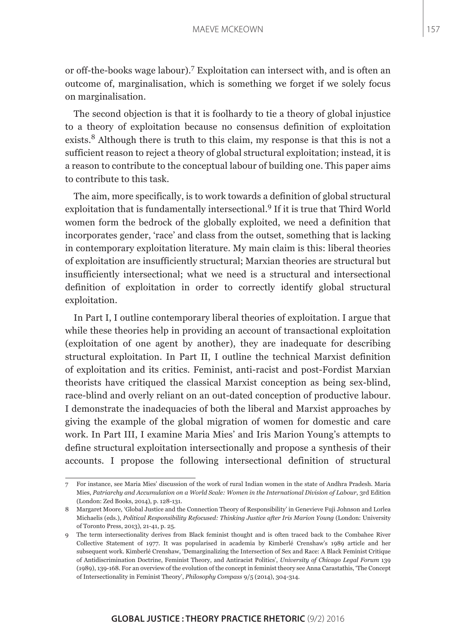or off-the-books wage labour).<sup>7</sup> Exploitation can intersect with, and is often an outcome of, marginalisation, which is something we forget if we solely focus on marginalisation.

The second objection is that it is foolhardy to tie a theory of global injustice to a theory of exploitation because no consensus definition of exploitation exists.<sup>8</sup> Although there is truth to this claim, my response is that this is not a sufficient reason to reject a theory of global structural exploitation; instead, it is a reason to contribute to the conceptual labour of building one. This paper aims to contribute to this task.

The aim, more specifically, is to work towards a definition of global structural exploitation that is fundamentally intersectional.9 If it is true that Third World women form the bedrock of the globally exploited, we need a definition that incorporates gender, 'race' and class from the outset, something that is lacking in contemporary exploitation literature. My main claim is this: liberal theories of exploitation are insufficiently structural; Marxian theories are structural but insufficiently intersectional; what we need is a structural and intersectional definition of exploitation in order to correctly identify global structural exploitation.

In Part I, I outline contemporary liberal theories of exploitation. I argue that while these theories help in providing an account of transactional exploitation (exploitation of one agent by another), they are inadequate for describing structural exploitation. In Part II, I outline the technical Marxist definition of exploitation and its critics. Feminist, anti-racist and post-Fordist Marxian theorists have critiqued the classical Marxist conception as being sex-blind, race-blind and overly reliant on an out-dated conception of productive labour. I demonstrate the inadequacies of both the liberal and Marxist approaches by giving the example of the global migration of women for domestic and care work. In Part III, I examine Maria Mies' and Iris Marion Young's attempts to define structural exploitation intersectionally and propose a synthesis of their accounts. I propose the following intersectional definition of structural

<sup>7</sup> For instance, see Maria Mies' discussion of the work of rural Indian women in the state of Andhra Pradesh. Maria Mies, *Patriarchy and Accumulation on a World Scale: Women in the International Division of Labour*, 3rd Edition (London: Zed Books, 2014), p. 128-131.

<sup>8</sup> Margaret Moore, 'Global Justice and the Connection Theory of Responsibility' in Genevieve Fuji Johnson and Lorlea Michaelis (eds.), *Political Responsibility Refocused: Thinking Justice after Iris Marion Young* (London: University of Toronto Press, 2013), 21-41, p. 25.

<sup>9</sup> The term intersectionality derives from Black feminist thought and is often traced back to the Combahee River Collective Statement of 1977. It was popularised in academia by Kimberlé Crenshaw's 1989 article and her subsequent work. Kimberlé Crenshaw, 'Demarginalizing the Intersection of Sex and Race: A Black Feminist Critique of Antidiscrimination Doctrine, Feminist Theory, and Antiracist Politics', *University of Chicago Legal Forum* 139 (1989), 139-168. For an overview of the evolution of the concept in feminist theory see Anna Carastathis, 'The Concept of Intersectionality in Feminist Theory', *Philosophy Compass* 9/5 (2014), 304-314.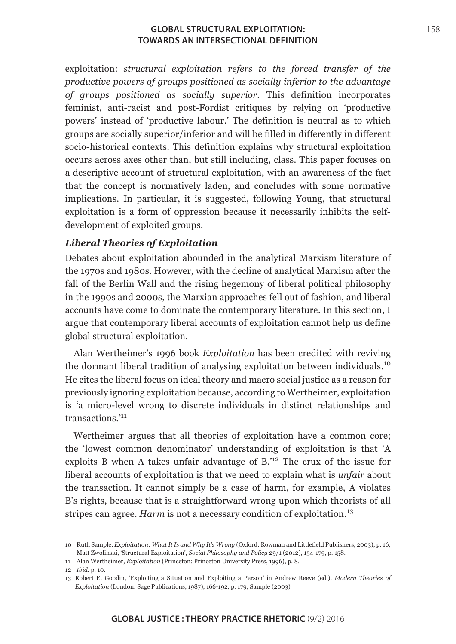exploitation: *structural exploitation refers to the forced transfer of the productive powers of groups positioned as socially inferior to the advantage of groups positioned as socially superior*. This definition incorporates feminist, anti-racist and post-Fordist critiques by relying on 'productive powers' instead of 'productive labour.' The definition is neutral as to which groups are socially superior/inferior and will be filled in differently in different socio-historical contexts. This definition explains why structural exploitation occurs across axes other than, but still including, class. This paper focuses on a descriptive account of structural exploitation, with an awareness of the fact that the concept is normatively laden, and concludes with some normative implications. In particular, it is suggested, following Young, that structural exploitation is a form of oppression because it necessarily inhibits the selfdevelopment of exploited groups.

# *Liberal Theories of Exploitation*

Debates about exploitation abounded in the analytical Marxism literature of the 1970s and 1980s. However, with the decline of analytical Marxism after the fall of the Berlin Wall and the rising hegemony of liberal political philosophy in the 1990s and 2000s, the Marxian approaches fell out of fashion, and liberal accounts have come to dominate the contemporary literature. In this section, I argue that contemporary liberal accounts of exploitation cannot help us define global structural exploitation.

Alan Wertheimer's 1996 book *Exploitation* has been credited with reviving the dormant liberal tradition of analysing exploitation between individuals.<sup>10</sup> He cites the liberal focus on ideal theory and macro social justice as a reason for previously ignoring exploitation because, according to Wertheimer, exploitation is 'a micro-level wrong to discrete individuals in distinct relationships and transactions.'<sup>11</sup>

Wertheimer argues that all theories of exploitation have a common core; the 'lowest common denominator' understanding of exploitation is that 'A exploits B when A takes unfair advantage of B.'12 The crux of the issue for liberal accounts of exploitation is that we need to explain what is *unfair* about the transaction. It cannot simply be a case of harm, for example, A violates B's rights, because that is a straightforward wrong upon which theorists of all stripes can agree. *Harm* is not a necessary condition of exploitation.<sup>13</sup>

<sup>10</sup> Ruth Sample, *Exploitation: What It Is and Why It's Wrong* (Oxford: Rowman and Littlefield Publishers, 2003), p. 16; Matt Zwolinski, 'Structural Exploitation', *Social Philosophy and Policy* 29/1 (2012), 154-179, p. 158.

<sup>11</sup> Alan Wertheimer, *Exploitation* (Princeton: Princeton University Press, 1996), p. 8.

<sup>12</sup> *Ibid*. p. 10.

<sup>13</sup> Robert E. Goodin, 'Exploiting a Situation and Exploiting a Person' in Andrew Reeve (ed.), *Modern Theories of Exploitation* (London: Sage Publications, 1987), 166-192, p. 179; Sample (2003)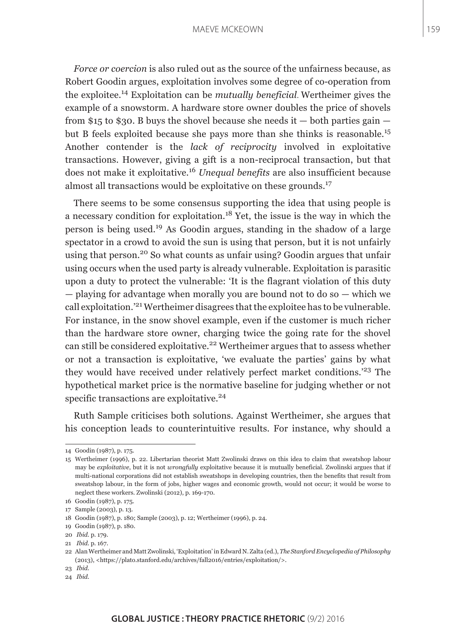#### MAEVE MCKEOWN

*Force or coercion* is also ruled out as the source of the unfairness because, as Robert Goodin argues, exploitation involves some degree of co-operation from the exploitee.14 Exploitation can be *mutually beneficial*. Wertheimer gives the example of a snowstorm. A hardware store owner doubles the price of shovels from \$15 to \$30. B buys the shovel because she needs it  $-$  both parties gain  $$ but B feels exploited because she pays more than she thinks is reasonable.<sup>15</sup> Another contender is the *lack of reciprocity* involved in exploitative transactions. However, giving a gift is a non-reciprocal transaction, but that does not make it exploitative.<sup>16</sup> *Unequal benefits* are also insufficient because almost all transactions would be exploitative on these grounds.<sup>17</sup>

There seems to be some consensus supporting the idea that using people is a necessary condition for exploitation.<sup>18</sup> Yet, the issue is the way in which the person is being used.19 As Goodin argues, standing in the shadow of a large spectator in a crowd to avoid the sun is using that person, but it is not unfairly using that person.<sup>20</sup> So what counts as unfair using? Goodin argues that unfair using occurs when the used party is already vulnerable. Exploitation is parasitic upon a duty to protect the vulnerable: 'It is the flagrant violation of this duty — playing for advantage when morally you are bound not to do so — which we call exploitation.'21 Wertheimer disagrees that the exploitee has to be vulnerable. For instance, in the snow shovel example, even if the customer is much richer than the hardware store owner, charging twice the going rate for the shovel can still be considered exploitative.<sup>22</sup> Wertheimer argues that to assess whether or not a transaction is exploitative, 'we evaluate the parties' gains by what they would have received under relatively perfect market conditions.'<sup>23</sup> The hypothetical market price is the normative baseline for judging whether or not specific transactions are exploitative.<sup>24</sup>

Ruth Sample criticises both solutions. Against Wertheimer, she argues that his conception leads to counterintuitive results. For instance, why should a

<sup>14</sup> Goodin (1987), p. 175.

<sup>15</sup> Wertheimer (1996), p. 22. Libertarian theorist Matt Zwolinski draws on this idea to claim that sweatshop labour may be *exploitative*, but it is not *wrongfully* exploitative because it is mutually beneficial. Zwolinski argues that if multi-national corporations did not establish sweatshops in developing countries, then the benefits that result from sweatshop labour, in the form of jobs, higher wages and economic growth, would not occur; it would be worse to neglect these workers. Zwolinski (2012), p. 169-170.

<sup>16</sup> Goodin (1987), p. 175.

<sup>17</sup> Sample (2003), p. 13.

<sup>18</sup> Goodin (1987), p. 180; Sample (2003), p. 12; Wertheimer (1996), p. 24.

<sup>19</sup> Goodin (1987), p. 180.

<sup>20</sup> *Ibid*. p. 179.

<sup>21</sup> *Ibid*. p. 167.

<sup>22</sup> Alan Wertheimer and Matt Zwolinski, 'Exploitation' in Edward N. Zalta (ed.), *The Stanford Encyclopedia of Philosophy*  (2013), <https://plato.stanford.edu/archives/fall2016/entries/exploitation/>.

<sup>23</sup> *Ibid*.

<sup>24</sup> *Ibid*.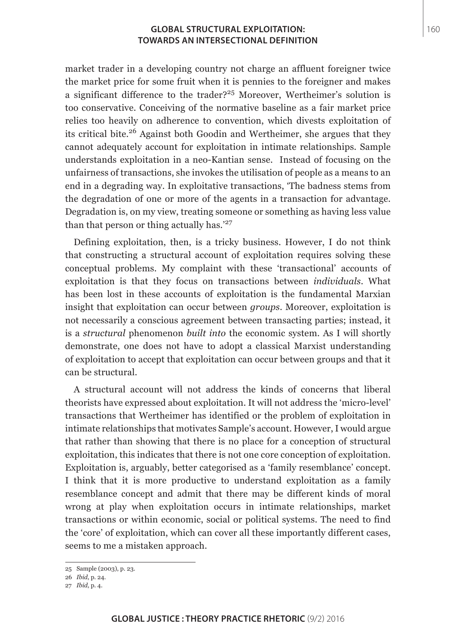market trader in a developing country not charge an affluent foreigner twice the market price for some fruit when it is pennies to the foreigner and makes a significant difference to the trader?<sup>25</sup> Moreover, Wertheimer's solution is too conservative. Conceiving of the normative baseline as a fair market price relies too heavily on adherence to convention, which divests exploitation of its critical bite.26 Against both Goodin and Wertheimer, she argues that they cannot adequately account for exploitation in intimate relationships. Sample understands exploitation in a neo-Kantian sense. Instead of focusing on the unfairness of transactions, she invokes the utilisation of people as a means to an end in a degrading way. In exploitative transactions, 'The badness stems from the degradation of one or more of the agents in a transaction for advantage. Degradation is, on my view, treating someone or something as having less value than that person or thing actually has.<sup>'27</sup>

Defining exploitation, then, is a tricky business. However, I do not think that constructing a structural account of exploitation requires solving these conceptual problems. My complaint with these 'transactional' accounts of exploitation is that they focus on transactions between *individuals*. What has been lost in these accounts of exploitation is the fundamental Marxian insight that exploitation can occur between *groups*. Moreover, exploitation is not necessarily a conscious agreement between transacting parties; instead, it is a *structural* phenomenon *built into* the economic system. As I will shortly demonstrate, one does not have to adopt a classical Marxist understanding of exploitation to accept that exploitation can occur between groups and that it can be structural.

A structural account will not address the kinds of concerns that liberal theorists have expressed about exploitation. It will not address the 'micro-level' transactions that Wertheimer has identified or the problem of exploitation in intimate relationships that motivates Sample's account. However, I would argue that rather than showing that there is no place for a conception of structural exploitation, this indicates that there is not one core conception of exploitation. Exploitation is, arguably, better categorised as a 'family resemblance' concept. I think that it is more productive to understand exploitation as a family resemblance concept and admit that there may be different kinds of moral wrong at play when exploitation occurs in intimate relationships, market transactions or within economic, social or political systems. The need to find the 'core' of exploitation, which can cover all these importantly different cases, seems to me a mistaken approach.

<sup>25</sup> Sample (2003), p. 23.

<sup>26</sup> *Ibid*, p. 24.

<sup>27</sup> *Ibid*, p. 4.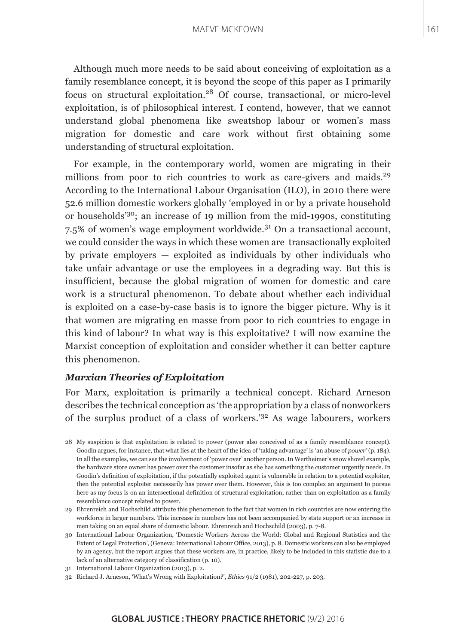#### MAEVE MCKEOWN

Although much more needs to be said about conceiving of exploitation as a family resemblance concept, it is beyond the scope of this paper as I primarily focus on structural exploitation.28 Of course, transactional, or micro-level exploitation, is of philosophical interest. I contend, however, that we cannot understand global phenomena like sweatshop labour or women's mass migration for domestic and care work without first obtaining some understanding of structural exploitation.

For example, in the contemporary world, women are migrating in their millions from poor to rich countries to work as care-givers and maids.<sup>29</sup> According to the International Labour Organisation (ILO), in 2010 there were 52.6 million domestic workers globally 'employed in or by a private household or households'30; an increase of 19 million from the mid-1990s, constituting 7.5% of women's wage employment worldwide.31 On a transactional account, we could consider the ways in which these women are transactionally exploited by private employers — exploited as individuals by other individuals who take unfair advantage or use the employees in a degrading way. But this is insufficient, because the global migration of women for domestic and care work is a structural phenomenon. To debate about whether each individual is exploited on a case-by-case basis is to ignore the bigger picture. Why is it that women are migrating en masse from poor to rich countries to engage in this kind of labour? In what way is this exploitative? I will now examine the Marxist conception of exploitation and consider whether it can better capture this phenomenon.

# *Marxian Theories of Exploitation*

For Marx, exploitation is primarily a technical concept. Richard Arneson describes the technical conception as 'the appropriation by a class of nonworkers of the surplus product of a class of workers.'32 As wage labourers, workers

<sup>28</sup> My suspicion is that exploitation is related to power (power also conceived of as a family resemblance concept). Goodin argues, for instance, that what lies at the heart of the idea of 'taking advantage' is 'an abuse of *power'* (p. 184). In all the examples, we can see the involvement of 'power over' another person. In Wertheimer's snow shovel example, the hardware store owner has power over the customer insofar as she has something the customer urgently needs. In Goodin's definition of exploitation, if the potentially exploited agent is vulnerable in relation to a potential exploiter, then the potential exploiter necessarily has power over them. However, this is too complex an argument to pursue here as my focus is on an intersectional definition of structural exploitation, rather than on exploitation as a family resemblance concept related to power.

<sup>29</sup> Ehrenreich and Hochschild attribute this phenomenon to the fact that women in rich countries are now entering the workforce in larger numbers. This increase in numbers has not been accompanied by state support or an increase in men taking on an equal share of domestic labour. Ehrenreich and Hochschild (2003), p. 7-8.

<sup>30</sup> International Labour Organization, 'Domestic Workers Across the World: Global and Regional Statistics and the Extent of Legal Protection', (Geneva: International Labour Office, 2013), p. 8. Domestic workers can also be employed by an agency, but the report argues that these workers are, in practice, likely to be included in this statistic due to a lack of an alternative category of classification (p. 10).

<sup>31</sup> International Labour Organization (2013), p. 2.

<sup>32</sup> Richard J. Arneson, 'What's Wrong with Exploitation?', *Ethics* 91/2 (1981), 202-227, p. 203.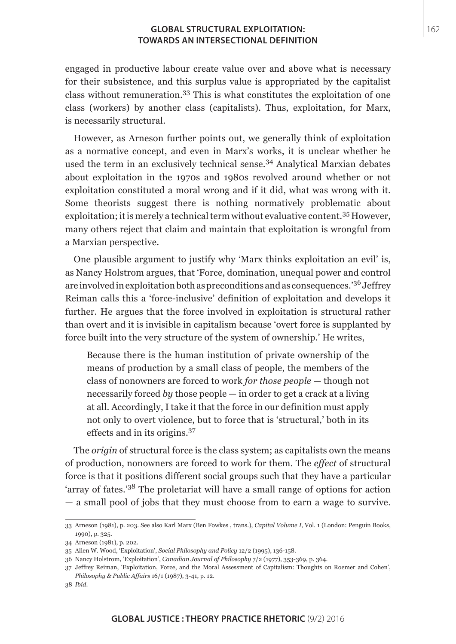engaged in productive labour create value over and above what is necessary for their subsistence, and this surplus value is appropriated by the capitalist class without remuneration.33 This is what constitutes the exploitation of one class (workers) by another class (capitalists). Thus, exploitation, for Marx, is necessarily structural.

However, as Arneson further points out, we generally think of exploitation as a normative concept, and even in Marx's works, it is unclear whether he used the term in an exclusively technical sense.<sup>34</sup> Analytical Marxian debates about exploitation in the 1970s and 1980s revolved around whether or not exploitation constituted a moral wrong and if it did, what was wrong with it. Some theorists suggest there is nothing normatively problematic about exploitation; it is merely a technical term without evaluative content.35 However, many others reject that claim and maintain that exploitation is wrongful from a Marxian perspective.

One plausible argument to justify why 'Marx thinks exploitation an evil' is, as Nancy Holstrom argues, that 'Force, domination, unequal power and control are involved in exploitation both as preconditions and as consequences.'36 Jeffrey Reiman calls this a 'force-inclusive' definition of exploitation and develops it further. He argues that the force involved in exploitation is structural rather than overt and it is invisible in capitalism because 'overt force is supplanted by force built into the very structure of the system of ownership.' He writes,

Because there is the human institution of private ownership of the means of production by a small class of people, the members of the class of nonowners are forced to work *for those people* — though not necessarily forced *by* those people — in order to get a crack at a living at all. Accordingly, I take it that the force in our definition must apply not only to overt violence, but to force that is 'structural,' both in its effects and in its origins.<sup>37</sup>

The *origin* of structural force is the class system; as capitalists own the means of production, nonowners are forced to work for them. The *effect* of structural force is that it positions different social groups such that they have a particular 'array of fates.'38 The proletariat will have a small range of options for action — a small pool of jobs that they must choose from to earn a wage to survive.

<sup>33</sup> Arneson (1981), p. 203. See also Karl Marx (Ben Fowkes , trans.), *Capital Volume I*, Vol. 1 (London: Penguin Books, 1990), p. 325.

<sup>34</sup> Arneson (1981), p. 202.

<sup>35</sup> Allen W. Wood, 'Exploitation', *Social Philosophy and Policy* 12/2 (1995), 136-158.

<sup>36</sup> Nancy Holstrom, 'Exploitation', *Canadian Journal of Philosophy* 7/2 (1977), 353-369, p. 364.

<sup>37</sup> Jeffrey Reiman, 'Exploitation, Force, and the Moral Assessment of Capitalism: Thoughts on Roemer and Cohen', *Philosophy & Public Affairs* 16/1 (1987), 3-41, p. 12.

<sup>38</sup> *Ibid*.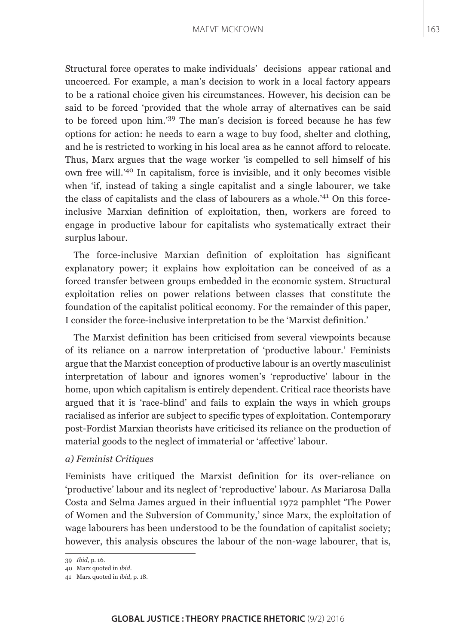Structural force operates to make individuals' decisions appear rational and uncoerced. For example, a man's decision to work in a local factory appears to be a rational choice given his circumstances. However, his decision can be said to be forced 'provided that the whole array of alternatives can be said to be forced upon him.'39 The man's decision is forced because he has few options for action: he needs to earn a wage to buy food, shelter and clothing, and he is restricted to working in his local area as he cannot afford to relocate. Thus, Marx argues that the wage worker 'is compelled to sell himself of his own free will.'40 In capitalism, force is invisible, and it only becomes visible when 'if, instead of taking a single capitalist and a single labourer, we take the class of capitalists and the class of labourers as a whole.'41 On this forceinclusive Marxian definition of exploitation, then, workers are forced to engage in productive labour for capitalists who systematically extract their surplus labour.

The force-inclusive Marxian definition of exploitation has significant explanatory power; it explains how exploitation can be conceived of as a forced transfer between groups embedded in the economic system. Structural exploitation relies on power relations between classes that constitute the foundation of the capitalist political economy. For the remainder of this paper, I consider the force-inclusive interpretation to be the 'Marxist definition.'

The Marxist definition has been criticised from several viewpoints because of its reliance on a narrow interpretation of 'productive labour.' Feminists argue that the Marxist conception of productive labour is an overtly masculinist interpretation of labour and ignores women's 'reproductive' labour in the home, upon which capitalism is entirely dependent. Critical race theorists have argued that it is 'race-blind' and fails to explain the ways in which groups racialised as inferior are subject to specific types of exploitation. Contemporary post-Fordist Marxian theorists have criticised its reliance on the production of material goods to the neglect of immaterial or 'affective' labour.

#### *a) Feminist Critiques*

Feminists have critiqued the Marxist definition for its over-reliance on 'productive' labour and its neglect of 'reproductive' labour. As Mariarosa Dalla Costa and Selma James argued in their influential 1972 pamphlet 'The Power of Women and the Subversion of Community,' since Marx, the exploitation of wage labourers has been understood to be the foundation of capitalist society; however, this analysis obscures the labour of the non-wage labourer, that is,

<sup>39</sup> *Ibid*, p. 16.

<sup>40</sup> Marx quoted in *ibid*.

<sup>41</sup> Marx quoted in *ibid*, p. 18.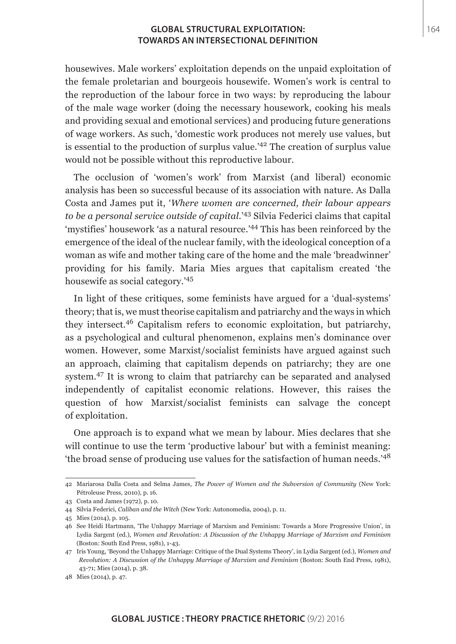housewives. Male workers' exploitation depends on the unpaid exploitation of the female proletarian and bourgeois housewife. Women's work is central to the reproduction of the labour force in two ways: by reproducing the labour of the male wage worker (doing the necessary housework, cooking his meals and providing sexual and emotional services) and producing future generations of wage workers. As such, 'domestic work produces not merely use values, but is essential to the production of surplus value.'42 The creation of surplus value would not be possible without this reproductive labour.

The occlusion of 'women's work' from Marxist (and liberal) economic analysis has been so successful because of its association with nature. As Dalla Costa and James put it, '*Where women are concerned, their labour appears to be a personal service outside of capital*.'43 Silvia Federici claims that capital 'mystifies' housework 'as a natural resource.'44 This has been reinforced by the emergence of the ideal of the nuclear family, with the ideological conception of a woman as wife and mother taking care of the home and the male 'breadwinner' providing for his family. Maria Mies argues that capitalism created 'the housewife as social category.'<sup>45</sup>

In light of these critiques, some feminists have argued for a 'dual-systems' theory; that is, we must theorise capitalism and patriarchy and the ways in which they intersect.46 Capitalism refers to economic exploitation, but patriarchy, as a psychological and cultural phenomenon, explains men's dominance over women. However, some Marxist/socialist feminists have argued against such an approach, claiming that capitalism depends on patriarchy; they are one system.47 It is wrong to claim that patriarchy can be separated and analysed independently of capitalist economic relations. However, this raises the question of how Marxist/socialist feminists can salvage the concept of exploitation.

One approach is to expand what we mean by labour. Mies declares that she will continue to use the term 'productive labour' but with a feminist meaning: 'the broad sense of producing use values for the satisfaction of human needs.'<sup>48</sup>

<sup>42</sup> Mariarosa Dalla Costa and Selma James, *The Power of Women and the Subversion of Community* (New York: Pétroleuse Press, 2010), p. 16.

<sup>43</sup> Costa and James (1972), p. 10.

<sup>44</sup> Silvia Federici, *Caliban and the Witch* (New York: Autonomedia, 2004), p. 11.

<sup>45</sup> Mies (2014), p. 105.

<sup>46</sup> See Heidi Hartmann, 'The Unhappy Marriage of Marxism and Feminism: Towards a More Progressive Union', in Lydia Sargent (ed.), *Women and Revolution: A Discussion of the Unhappy Marriage of Marxism and Feminism* (Boston: South End Press, 1981), 1-43.

<sup>47</sup> Iris Young, 'Beyond the Unhappy Marriage: Critique of the Dual Systems Theory', in Lydia Sargent (ed.), *Women and Revolution: A Discussion of the Unhappy Marriage of Marxism and Feminism* (Boston: South End Press, 1981), 43-71; Mies (2014), p. 38.

<sup>48</sup> Mies (2014), p. 47.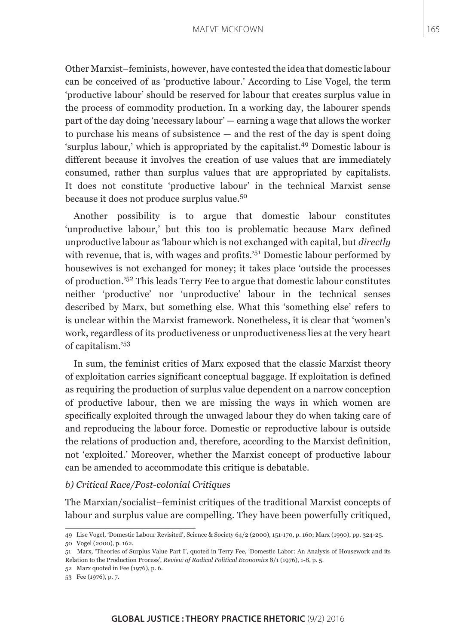Other Marxist–feminists, however, have contested the idea that domestic labour can be conceived of as 'productive labour.' According to Lise Vogel, the term 'productive labour' should be reserved for labour that creates surplus value in the process of commodity production. In a working day, the labourer spends part of the day doing 'necessary labour' — earning a wage that allows the worker to purchase his means of subsistence — and the rest of the day is spent doing 'surplus labour,' which is appropriated by the capitalist.<sup>49</sup> Domestic labour is different because it involves the creation of use values that are immediately consumed, rather than surplus values that are appropriated by capitalists. It does not constitute 'productive labour' in the technical Marxist sense because it does not produce surplus value.<sup>50</sup>

Another possibility is to argue that domestic labour constitutes 'unproductive labour,' but this too is problematic because Marx defined unproductive labour as 'labour which is not exchanged with capital, but *directly* with revenue, that is, with wages and profits.<sup>'51</sup> Domestic labour performed by housewives is not exchanged for money; it takes place 'outside the processes of production.'52 This leads Terry Fee to argue that domestic labour constitutes neither 'productive' nor 'unproductive' labour in the technical senses described by Marx, but something else. What this 'something else' refers to is unclear within the Marxist framework. Nonetheless, it is clear that 'women's work, regardless of its productiveness or unproductiveness lies at the very heart of capitalism.'<sup>53</sup>

In sum, the feminist critics of Marx exposed that the classic Marxist theory of exploitation carries significant conceptual baggage. If exploitation is defined as requiring the production of surplus value dependent on a narrow conception of productive labour, then we are missing the ways in which women are specifically exploited through the unwaged labour they do when taking care of and reproducing the labour force. Domestic or reproductive labour is outside the relations of production and, therefore, according to the Marxist definition, not 'exploited.' Moreover, whether the Marxist concept of productive labour can be amended to accommodate this critique is debatable.

#### *b) Critical Race/Post-colonial Critiques*

The Marxian/socialist–feminist critiques of the traditional Marxist concepts of labour and surplus value are compelling. They have been powerfully critiqued,

<sup>49</sup> Lise Vogel, 'Domestic Labour Revisited', Science & Society 64/2 (2000), 151-170, p. 160; Marx (1990), pp. 324-25.

<sup>50</sup> Vogel (2000), p. 162.

<sup>51</sup> Marx, 'Theories of Surplus Value Part I', quoted in Terry Fee, 'Domestic Labor: An Analysis of Housework and its Relation to the Production Process', *Review of Radical Political Economics* 8/1 (1976), 1-8, p. 5.

<sup>52</sup> Marx quoted in Fee (1976), p. 6.

<sup>53</sup> Fee (1976), p. 7.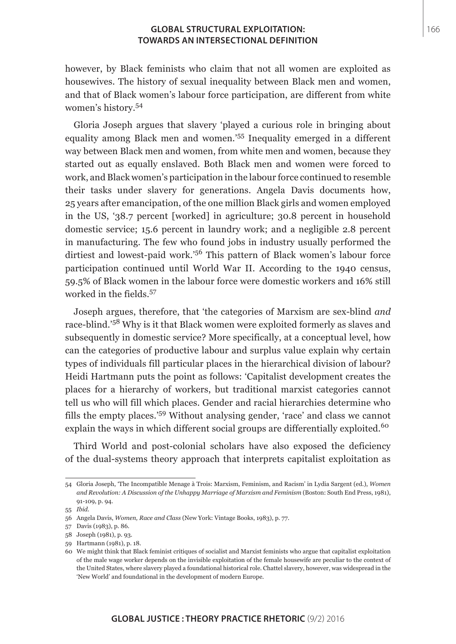however, by Black feminists who claim that not all women are exploited as housewives. The history of sexual inequality between Black men and women, and that of Black women's labour force participation, are different from white women's history.<sup>54</sup>

Gloria Joseph argues that slavery 'played a curious role in bringing about equality among Black men and women.'55 Inequality emerged in a different way between Black men and women, from white men and women, because they started out as equally enslaved. Both Black men and women were forced to work, and Black women's participation in the labour force continued to resemble their tasks under slavery for generations. Angela Davis documents how, 25 years after emancipation, of the one million Black girls and women employed in the US, '38.7 percent [worked] in agriculture; 30.8 percent in household domestic service; 15.6 percent in laundry work; and a negligible 2.8 percent in manufacturing. The few who found jobs in industry usually performed the dirtiest and lowest-paid work.'56 This pattern of Black women's labour force participation continued until World War II. According to the 1940 census, 59.5% of Black women in the labour force were domestic workers and 16% still worked in the fields.<sup>57</sup>

Joseph argues, therefore, that 'the categories of Marxism are sex-blind *and* race-blind.'58 Why is it that Black women were exploited formerly as slaves and subsequently in domestic service? More specifically, at a conceptual level, how can the categories of productive labour and surplus value explain why certain types of individuals fill particular places in the hierarchical division of labour? Heidi Hartmann puts the point as follows: 'Capitalist development creates the places for a hierarchy of workers, but traditional marxist categories cannot tell us who will fill which places. Gender and racial hierarchies determine who fills the empty places.'59 Without analysing gender, 'race' and class we cannot explain the ways in which different social groups are differentially exploited.<sup>60</sup>

Third World and post-colonial scholars have also exposed the deficiency of the dual-systems theory approach that interprets capitalist exploitation as

<sup>54</sup> Gloria Joseph, 'The Incompatible Menage à Trois: Marxism, Feminism, and Racism' in Lydia Sargent (ed.), *Women and Revolution: A Discussion of the Unhappy Marriage of Marxism and Feminism* (Boston: South End Press, 1981), 91-109, p. 94.

<sup>55</sup> *Ibid*.

<sup>56</sup> Angela Davis, *Women, Race and Class* (New York: Vintage Books, 1983), p. 77.

<sup>57</sup> Davis (1983), p. 86.

<sup>58</sup> Joseph (1981), p. 93.

<sup>59</sup> Hartmann (1981), p. 18.

<sup>60</sup> We might think that Black feminist critiques of socialist and Marxist feminists who argue that capitalist exploitation of the male wage worker depends on the invisible exploitation of the female housewife are peculiar to the context of the United States, where slavery played a foundational historical role. Chattel slavery, however, was widespread in the 'New World' and foundational in the development of modern Europe.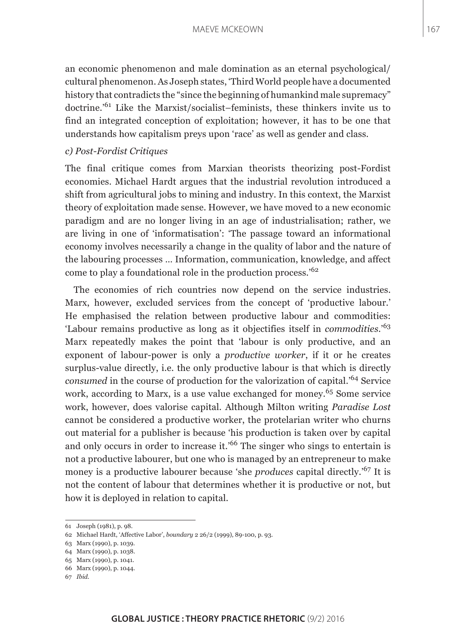an economic phenomenon and male domination as an eternal psychological/ cultural phenomenon. As Joseph states, 'Third World people have a documented history that contradicts the "since the beginning of humankind male supremacy" doctrine.'61 Like the Marxist/socialist–feminists, these thinkers invite us to find an integrated conception of exploitation; however, it has to be one that understands how capitalism preys upon 'race' as well as gender and class.

## *c) Post-Fordist Critiques*

The final critique comes from Marxian theorists theorizing post-Fordist economies. Michael Hardt argues that the industrial revolution introduced a shift from agricultural jobs to mining and industry. In this context, the Marxist theory of exploitation made sense. However, we have moved to a new economic paradigm and are no longer living in an age of industrialisation; rather, we are living in one of 'informatisation': 'The passage toward an informational economy involves necessarily a change in the quality of labor and the nature of the labouring processes … Information, communication, knowledge, and affect come to play a foundational role in the production process.'<sup>62</sup>

The economies of rich countries now depend on the service industries. Marx, however, excluded services from the concept of 'productive labour.' He emphasised the relation between productive labour and commodities: 'Labour remains productive as long as it objectifies itself in *commodities*.'<sup>63</sup> Marx repeatedly makes the point that 'labour is only productive, and an exponent of labour-power is only a *productive worker*, if it or he creates surplus-value directly, i.e. the only productive labour is that which is directly *consumed* in the course of production for the valorization of capital.<sup>'64</sup> Service work, according to Marx, is a use value exchanged for money.<sup>65</sup> Some service work, however, does valorise capital. Although Milton writing *Paradise Lost* cannot be considered a productive worker, the protelarian writer who churns out material for a publisher is because 'his production is taken over by capital and only occurs in order to increase it.'66 The singer who sings to entertain is not a productive labourer, but one who is managed by an entrepreneur to make money is a productive labourer because 'she *produces* capital directly.'67 It is not the content of labour that determines whether it is productive or not, but how it is deployed in relation to capital.

<sup>61</sup> Joseph (1981), p. 98.

<sup>62</sup> Michael Hardt, 'Affective Labor', *boundary* 2 26/2 (1999), 89-100, p. 93.

<sup>63</sup> Marx (1990), p. 1039.

<sup>64</sup> Marx (1990), p. 1038.

<sup>65</sup> Marx (1990), p. 1041.

<sup>66</sup> Marx (1990), p. 1044.

<sup>67</sup> *Ibid*.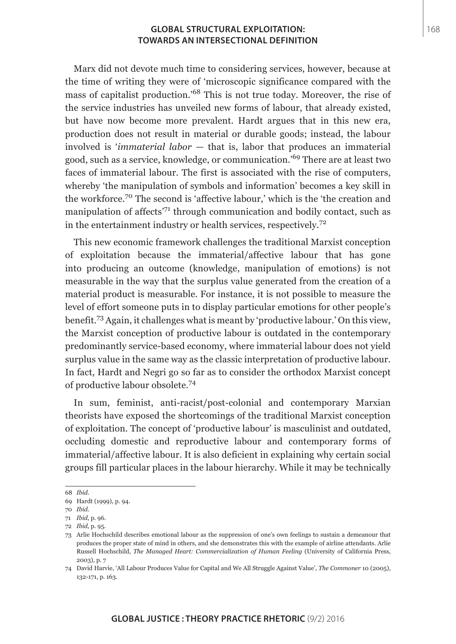Marx did not devote much time to considering services, however, because at the time of writing they were of 'microscopic significance compared with the mass of capitalist production.'68 This is not true today. Moreover, the rise of the service industries has unveiled new forms of labour, that already existed, but have now become more prevalent. Hardt argues that in this new era, production does not result in material or durable goods; instead, the labour involved is '*immaterial labor* — that is, labor that produces an immaterial good, such as a service, knowledge, or communication.'69 There are at least two faces of immaterial labour. The first is associated with the rise of computers, whereby 'the manipulation of symbols and information' becomes a key skill in the workforce.70 The second is 'affective labour,' which is the 'the creation and manipulation of affects'71 through communication and bodily contact, such as in the entertainment industry or health services, respectively.<sup>72</sup>

This new economic framework challenges the traditional Marxist conception of exploitation because the immaterial/affective labour that has gone into producing an outcome (knowledge, manipulation of emotions) is not measurable in the way that the surplus value generated from the creation of a material product is measurable. For instance, it is not possible to measure the level of effort someone puts in to display particular emotions for other people's benefit.73 Again, it challenges what is meant by 'productive labour.' On this view, the Marxist conception of productive labour is outdated in the contemporary predominantly service-based economy, where immaterial labour does not yield surplus value in the same way as the classic interpretation of productive labour. In fact, Hardt and Negri go so far as to consider the orthodox Marxist concept of productive labour obsolete.<sup>74</sup>

In sum, feminist, anti-racist/post-colonial and contemporary Marxian theorists have exposed the shortcomings of the traditional Marxist conception of exploitation. The concept of 'productive labour' is masculinist and outdated, occluding domestic and reproductive labour and contemporary forms of immaterial/affective labour. It is also deficient in explaining why certain social groups fill particular places in the labour hierarchy. While it may be technically

<sup>68</sup> *Ibid*.

<sup>69</sup> Hardt (1999), p. 94.

<sup>70</sup> *Ibid*.

<sup>71</sup> *Ibid*, p. 96.

<sup>72</sup> *Ibid*, p. 95.

<sup>73</sup> Arlie Hochschild describes emotional labour as the suppression of one's own feelings to sustain a demeanour that produces the proper state of mind in others, and she demonstrates this with the example of airline attendants. Arlie Russell Hochschild, *The Managed Heart: Commercialization of Human Feeling* (University of California Press, 2003), p. 7

<sup>74</sup> David Harvie, 'All Labour Produces Value for Capital and We All Struggle Against Value', *The Commoner* 10 (2005), 132-171, p. 163.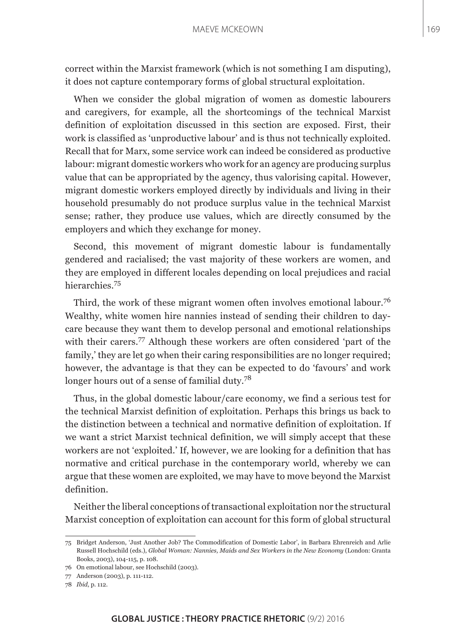correct within the Marxist framework (which is not something I am disputing), it does not capture contemporary forms of global structural exploitation.

When we consider the global migration of women as domestic labourers and caregivers, for example, all the shortcomings of the technical Marxist definition of exploitation discussed in this section are exposed. First, their work is classified as 'unproductive labour' and is thus not technically exploited. Recall that for Marx, some service work can indeed be considered as productive labour: migrant domestic workers who work for an agency are producing surplus value that can be appropriated by the agency, thus valorising capital. However, migrant domestic workers employed directly by individuals and living in their household presumably do not produce surplus value in the technical Marxist sense; rather, they produce use values, which are directly consumed by the employers and which they exchange for money.

Second, this movement of migrant domestic labour is fundamentally gendered and racialised; the vast majority of these workers are women, and they are employed in different locales depending on local prejudices and racial hierarchies<sup>75</sup>

Third, the work of these migrant women often involves emotional labour.<sup>76</sup> Wealthy, white women hire nannies instead of sending their children to daycare because they want them to develop personal and emotional relationships with their carers.<sup>77</sup> Although these workers are often considered 'part of the family,' they are let go when their caring responsibilities are no longer required; however, the advantage is that they can be expected to do 'favours' and work longer hours out of a sense of familial duty.<sup>78</sup>

Thus, in the global domestic labour/care economy, we find a serious test for the technical Marxist definition of exploitation. Perhaps this brings us back to the distinction between a technical and normative definition of exploitation. If we want a strict Marxist technical definition, we will simply accept that these workers are not 'exploited.' If, however, we are looking for a definition that has normative and critical purchase in the contemporary world, whereby we can argue that these women are exploited, we may have to move beyond the Marxist definition.

Neither the liberal conceptions of transactional exploitation nor the structural Marxist conception of exploitation can account for this form of global structural

<sup>75</sup> Bridget Anderson, 'Just Another Job? The Commodification of Domestic Labor', in Barbara Ehrenreich and Arlie Russell Hochschild (eds.), *Global Woman: Nannies, Maids and Sex Workers in the New Economy* (London: Granta Books, 2003), 104-115, p. 108.

<sup>76</sup> On emotional labour, see Hochschild (2003).

<sup>77</sup> Anderson (2003), p. 111-112.

<sup>78</sup> *Ibid*, p. 112.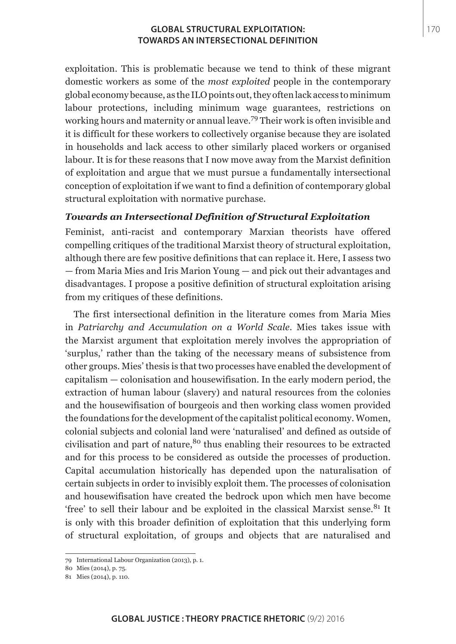exploitation. This is problematic because we tend to think of these migrant domestic workers as some of the *most exploited* people in the contemporary global economy because, as the ILO points out, they often lack access to minimum labour protections, including minimum wage guarantees, restrictions on working hours and maternity or annual leave.79 Their work is often invisible and it is difficult for these workers to collectively organise because they are isolated in households and lack access to other similarly placed workers or organised labour. It is for these reasons that I now move away from the Marxist definition of exploitation and argue that we must pursue a fundamentally intersectional conception of exploitation if we want to find a definition of contemporary global structural exploitation with normative purchase.

# *Towards an Intersectional Definition of Structural Exploitation*

Feminist, anti-racist and contemporary Marxian theorists have offered compelling critiques of the traditional Marxist theory of structural exploitation, although there are few positive definitions that can replace it. Here, I assess two — from Maria Mies and Iris Marion Young — and pick out their advantages and disadvantages. I propose a positive definition of structural exploitation arising from my critiques of these definitions.

The first intersectional definition in the literature comes from Maria Mies in *Patriarchy and Accumulation on a World Scale*. Mies takes issue with the Marxist argument that exploitation merely involves the appropriation of 'surplus,' rather than the taking of the necessary means of subsistence from other groups. Mies' thesis is that two processes have enabled the development of capitalism — colonisation and housewifisation. In the early modern period, the extraction of human labour (slavery) and natural resources from the colonies and the housewifisation of bourgeois and then working class women provided the foundations for the development of the capitalist political economy. Women, colonial subjects and colonial land were 'naturalised' and defined as outside of civilisation and part of nature,  $80$  thus enabling their resources to be extracted and for this process to be considered as outside the processes of production. Capital accumulation historically has depended upon the naturalisation of certain subjects in order to invisibly exploit them. The processes of colonisation and housewifisation have created the bedrock upon which men have become 'free' to sell their labour and be exploited in the classical Marxist sense. $81$  It is only with this broader definition of exploitation that this underlying form of structural exploitation, of groups and objects that are naturalised and

<sup>79</sup> International Labour Organization (2013), p. 1.

<sup>80</sup> Mies (2014), p. 75.

<sup>81</sup> Mies (2014), p. 110.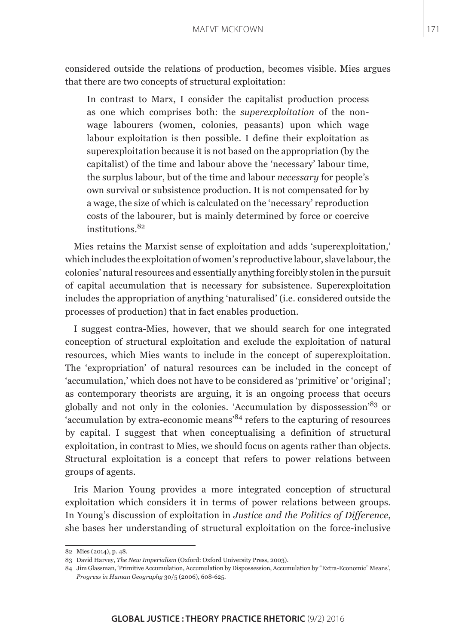considered outside the relations of production, becomes visible. Mies argues that there are two concepts of structural exploitation:

In contrast to Marx, I consider the capitalist production process as one which comprises both: the *superexploitation* of the nonwage labourers (women, colonies, peasants) upon which wage labour exploitation is then possible. I define their exploitation as superexploitation because it is not based on the appropriation (by the capitalist) of the time and labour above the 'necessary' labour time, the surplus labour, but of the time and labour *necessary* for people's own survival or subsistence production. It is not compensated for by a wage, the size of which is calculated on the 'necessary' reproduction costs of the labourer, but is mainly determined by force or coercive institutions.<sup>82</sup>

Mies retains the Marxist sense of exploitation and adds 'superexploitation,' which includes the exploitation of women's reproductive labour, slave labour, the colonies' natural resources and essentially anything forcibly stolen in the pursuit of capital accumulation that is necessary for subsistence. Superexploitation includes the appropriation of anything 'naturalised' (i.e. considered outside the processes of production) that in fact enables production.

I suggest contra-Mies, however, that we should search for one integrated conception of structural exploitation and exclude the exploitation of natural resources, which Mies wants to include in the concept of superexploitation. The 'expropriation' of natural resources can be included in the concept of 'accumulation,' which does not have to be considered as 'primitive' or 'original'; as contemporary theorists are arguing, it is an ongoing process that occurs globally and not only in the colonies. 'Accumulation by dispossession'83 or 'accumulation by extra-economic means'84 refers to the capturing of resources by capital. I suggest that when conceptualising a definition of structural exploitation, in contrast to Mies, we should focus on agents rather than objects. Structural exploitation is a concept that refers to power relations between groups of agents.

Iris Marion Young provides a more integrated conception of structural exploitation which considers it in terms of power relations between groups. In Young's discussion of exploitation in *Justice and the Politics of Difference*, she bases her understanding of structural exploitation on the force-inclusive

<sup>82</sup> Mies (2014), p. 48.

<sup>83</sup> David Harvey, *The New Imperialism* (Oxford: Oxford University Press, 2003).

<sup>84</sup> Jim Glassman, 'Primitive Accumulation, Accumulation by Dispossession, Accumulation by "Extra-Economic" Means', *Progress in Human Geography* 30/5 (2006), 608-625.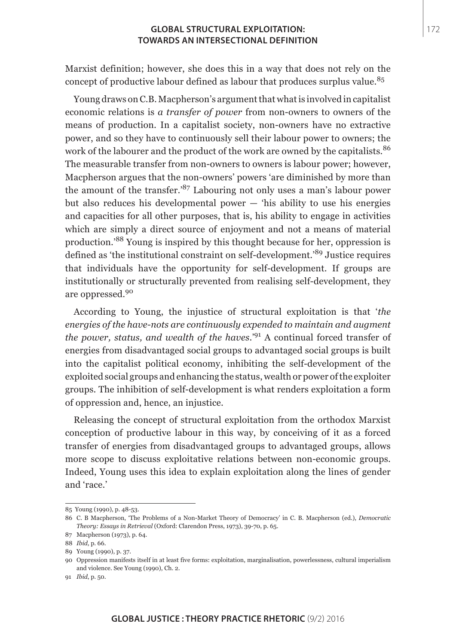Marxist definition; however, she does this in a way that does not rely on the concept of productive labour defined as labour that produces surplus value.<sup>85</sup>

Young draws on C.B. Macpherson's argument that what is involved in capitalist economic relations is *a transfer of power* from non-owners to owners of the means of production. In a capitalist society, non-owners have no extractive power, and so they have to continuously sell their labour power to owners; the work of the labourer and the product of the work are owned by the capitalists.<sup>86</sup> The measurable transfer from non-owners to owners is labour power; however, Macpherson argues that the non-owners' powers 'are diminished by more than the amount of the transfer.'87 Labouring not only uses a man's labour power but also reduces his developmental power — 'his ability to use his energies and capacities for all other purposes, that is, his ability to engage in activities which are simply a direct source of enjoyment and not a means of material production.'88 Young is inspired by this thought because for her, oppression is defined as 'the institutional constraint on self-development.'89 Justice requires that individuals have the opportunity for self-development. If groups are institutionally or structurally prevented from realising self-development, they are oppressed.<sup>90</sup>

According to Young, the injustice of structural exploitation is that '*the energies of the have-nots are continuously expended to maintain and augment the power, status, and wealth of the haves*.'91 A continual forced transfer of energies from disadvantaged social groups to advantaged social groups is built into the capitalist political economy, inhibiting the self-development of the exploited social groups and enhancing the status, wealth or power of the exploiter groups. The inhibition of self-development is what renders exploitation a form of oppression and, hence, an injustice.

Releasing the concept of structural exploitation from the orthodox Marxist conception of productive labour in this way, by conceiving of it as a forced transfer of energies from disadvantaged groups to advantaged groups, allows more scope to discuss exploitative relations between non-economic groups. Indeed, Young uses this idea to explain exploitation along the lines of gender and 'race.'

<sup>85</sup> Young (1990), p. 48-53.

<sup>86</sup> C. B Macpherson, 'The Problems of a Non-Market Theory of Democracy' in C. B. Macpherson (ed.), *Democratic Theory: Essays in Retrieval* (Oxford: Clarendon Press, 1973), 39-70, p. 65.

<sup>87</sup> Macpherson (1973), p. 64.

<sup>88</sup> *Ibid*, p. 66.

<sup>89</sup> Young (1990), p. 37.

<sup>90</sup> Oppression manifests itself in at least five forms: exploitation, marginalisation, powerlessness, cultural imperialism and violence. See Young (1990), Ch. 2.

<sup>91</sup> *Ibid*, p. 50.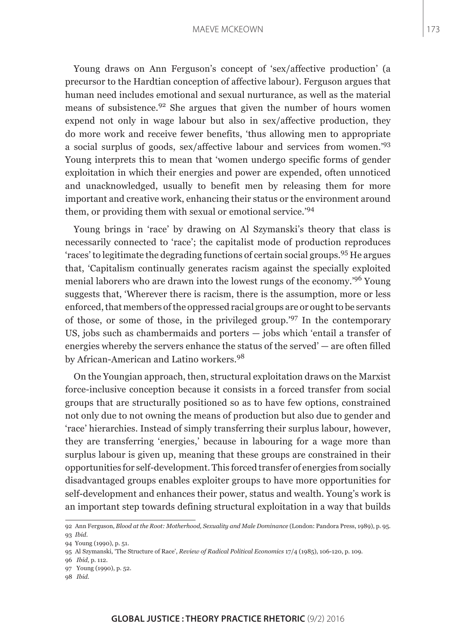#### MAEVE MCKEOWN

Young draws on Ann Ferguson's concept of 'sex/affective production' (a precursor to the Hardtian conception of affective labour). Ferguson argues that human need includes emotional and sexual nurturance, as well as the material means of subsistence.92 She argues that given the number of hours women expend not only in wage labour but also in sex/affective production, they do more work and receive fewer benefits, 'thus allowing men to appropriate a social surplus of goods, sex/affective labour and services from women.'<sup>93</sup> Young interprets this to mean that 'women undergo specific forms of gender exploitation in which their energies and power are expended, often unnoticed and unacknowledged, usually to benefit men by releasing them for more important and creative work, enhancing their status or the environment around them, or providing them with sexual or emotional service.'<sup>94</sup>

Young brings in 'race' by drawing on Al Szymanski's theory that class is necessarily connected to 'race'; the capitalist mode of production reproduces 'races' to legitimate the degrading functions of certain social groups.95 He argues that, 'Capitalism continually generates racism against the specially exploited menial laborers who are drawn into the lowest rungs of the economy.'96 Young suggests that, 'Wherever there is racism, there is the assumption, more or less enforced, that members of the oppressed racial groups are or ought to be servants of those, or some of those, in the privileged group.'97 In the contemporary US, jobs such as chambermaids and porters — jobs which 'entail a transfer of energies whereby the servers enhance the status of the served' — are often filled by African-American and Latino workers.<sup>98</sup>

On the Youngian approach, then, structural exploitation draws on the Marxist force-inclusive conception because it consists in a forced transfer from social groups that are structurally positioned so as to have few options, constrained not only due to not owning the means of production but also due to gender and 'race' hierarchies. Instead of simply transferring their surplus labour, however, they are transferring 'energies,' because in labouring for a wage more than surplus labour is given up, meaning that these groups are constrained in their opportunities for self-development. This forced transfer of energies from socially disadvantaged groups enables exploiter groups to have more opportunities for self-development and enhances their power, status and wealth. Young's work is an important step towards defining structural exploitation in a way that builds

97 Young (1990), p. 52.

<sup>92</sup> Ann Ferguson, *Blood at the Root: Motherhood, Sexuality and Male Dominance* (London: Pandora Press, 1989), p. 95. 93 *Ibid*.

<sup>94</sup> Young (1990), p. 51.

<sup>95</sup> Al Szymanski, 'The Structure of Race', *Review of Radical Political Economics* 17/4 (1985), 106-120, p. 109.

<sup>96</sup> *Ibid*, p. 112.

<sup>98</sup> *Ibid*.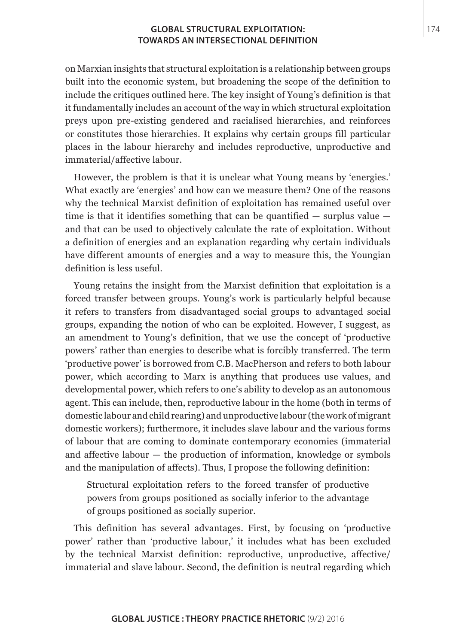on Marxian insights that structural exploitation is a relationship between groups built into the economic system, but broadening the scope of the definition to include the critiques outlined here. The key insight of Young's definition is that it fundamentally includes an account of the way in which structural exploitation preys upon pre-existing gendered and racialised hierarchies, and reinforces or constitutes those hierarchies. It explains why certain groups fill particular places in the labour hierarchy and includes reproductive, unproductive and immaterial/affective labour.

However, the problem is that it is unclear what Young means by 'energies.' What exactly are 'energies' and how can we measure them? One of the reasons why the technical Marxist definition of exploitation has remained useful over time is that it identifies something that can be quantified — surplus value and that can be used to objectively calculate the rate of exploitation. Without a definition of energies and an explanation regarding why certain individuals have different amounts of energies and a way to measure this, the Youngian definition is less useful.

Young retains the insight from the Marxist definition that exploitation is a forced transfer between groups. Young's work is particularly helpful because it refers to transfers from disadvantaged social groups to advantaged social groups, expanding the notion of who can be exploited. However, I suggest, as an amendment to Young's definition, that we use the concept of 'productive powers' rather than energies to describe what is forcibly transferred. The term 'productive power' is borrowed from C.B. MacPherson and refers to both labour power, which according to Marx is anything that produces use values, and developmental power, which refers to one's ability to develop as an autonomous agent. This can include, then, reproductive labour in the home (both in terms of domestic labour and child rearing) and unproductive labour (the work of migrant domestic workers); furthermore, it includes slave labour and the various forms of labour that are coming to dominate contemporary economies (immaterial and affective labour — the production of information, knowledge or symbols and the manipulation of affects). Thus, I propose the following definition:

Structural exploitation refers to the forced transfer of productive powers from groups positioned as socially inferior to the advantage of groups positioned as socially superior.

This definition has several advantages. First, by focusing on 'productive power' rather than 'productive labour,' it includes what has been excluded by the technical Marxist definition: reproductive, unproductive, affective/ immaterial and slave labour. Second, the definition is neutral regarding which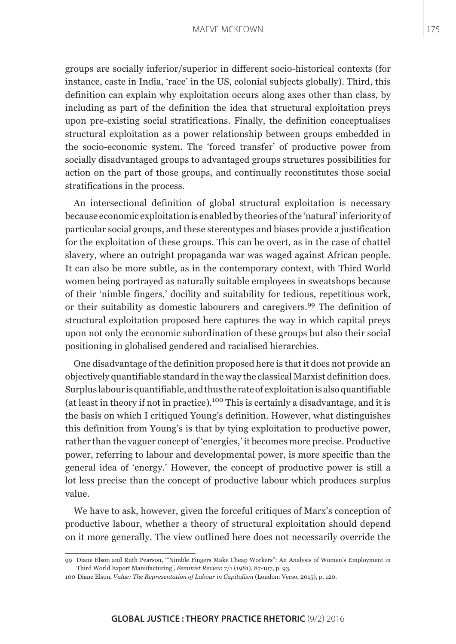#### MAEVE MCKEOWN

groups are socially inferior/superior in different socio-historical contexts (for instance, caste in India, 'race' in the US, colonial subjects globally). Third, this definition can explain why exploitation occurs along axes other than class, by including as part of the definition the idea that structural exploitation preys upon pre-existing social stratifications. Finally, the definition conceptualises structural exploitation as a power relationship between groups embedded in the socio-economic system. The 'forced transfer' of productive power from socially disadvantaged groups to advantaged groups structures possibilities for action on the part of those groups, and continually reconstitutes those social stratifications in the process.

An intersectional definition of global structural exploitation is necessary because economic exploitation is enabled by theories of the 'natural' inferiority of particular social groups, and these stereotypes and biases provide a justification for the exploitation of these groups. This can be overt, as in the case of chattel slavery, where an outright propaganda war was waged against African people. It can also be more subtle, as in the contemporary context, with Third World women being portrayed as naturally suitable employees in sweatshops because of their 'nimble fingers,' docility and suitability for tedious, repetitious work, or their suitability as domestic labourers and caregivers.<sup>99</sup> The definition of structural exploitation proposed here captures the way in which capital preys upon not only the economic subordination of these groups but also their social positioning in globalised gendered and racialised hierarchies.

One disadvantage of the definition proposed here is that it does not provide an objectively quantifiable standard in the way the classical Marxist definition does. Surplus labour is quantifiable, and thus the rate of exploitation is also quantifiable (at least in theory if not in practice).100 This is certainly a disadvantage, and it is the basis on which I critiqued Young's definition. However, what distinguishes this definition from Young's is that by tying exploitation to productive power, rather than the vaguer concept of 'energies,' it becomes more precise. Productive power, referring to labour and developmental power, is more specific than the general idea of 'energy.' However, the concept of productive power is still a lot less precise than the concept of productive labour which produces surplus value.

We have to ask, however, given the forceful critiques of Marx's conception of productive labour, whether a theory of structural exploitation should depend on it more generally. The view outlined here does not necessarily override the

<sup>99</sup> Diane Elson and Ruth Pearson, '"Nimble Fingers Make Cheap Workers": An Analysis of Women's Employment in Third World Export Manufacturing', *Feminist Review* 7/1 (1981), 87-107, p. 93.

<sup>100</sup> Diane Elson, *Value: The Representation of Labour in Capitalism* (London: Verso, 2015), p. 120.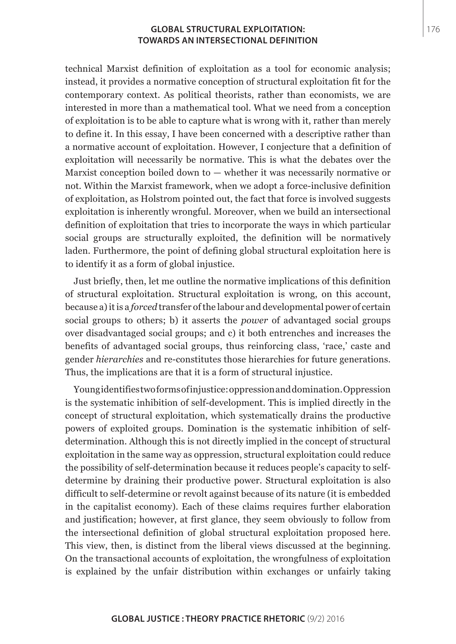technical Marxist definition of exploitation as a tool for economic analysis; instead, it provides a normative conception of structural exploitation fit for the contemporary context. As political theorists, rather than economists, we are interested in more than a mathematical tool. What we need from a conception of exploitation is to be able to capture what is wrong with it, rather than merely to define it. In this essay, I have been concerned with a descriptive rather than a normative account of exploitation. However, I conjecture that a definition of exploitation will necessarily be normative. This is what the debates over the Marxist conception boiled down to — whether it was necessarily normative or not. Within the Marxist framework, when we adopt a force-inclusive definition of exploitation, as Holstrom pointed out, the fact that force is involved suggests exploitation is inherently wrongful. Moreover, when we build an intersectional definition of exploitation that tries to incorporate the ways in which particular social groups are structurally exploited, the definition will be normatively laden. Furthermore, the point of defining global structural exploitation here is to identify it as a form of global injustice.

Just briefly, then, let me outline the normative implications of this definition of structural exploitation. Structural exploitation is wrong, on this account, because a) it is a *forced* transfer of the labour and developmental power of certain social groups to others; b) it asserts the *power* of advantaged social groups over disadvantaged social groups; and c) it both entrenches and increases the benefits of advantaged social groups, thus reinforcing class, 'race,' caste and gender *hierarchies* and re-constitutes those hierarchies for future generations. Thus, the implications are that it is a form of structural injustice.

Young identifies two forms of injustice: oppression and domination. Oppression is the systematic inhibition of self-development. This is implied directly in the concept of structural exploitation, which systematically drains the productive powers of exploited groups. Domination is the systematic inhibition of selfdetermination. Although this is not directly implied in the concept of structural exploitation in the same way as oppression, structural exploitation could reduce the possibility of self-determination because it reduces people's capacity to selfdetermine by draining their productive power. Structural exploitation is also difficult to self-determine or revolt against because of its nature (it is embedded in the capitalist economy). Each of these claims requires further elaboration and justification; however, at first glance, they seem obviously to follow from the intersectional definition of global structural exploitation proposed here. This view, then, is distinct from the liberal views discussed at the beginning. On the transactional accounts of exploitation, the wrongfulness of exploitation is explained by the unfair distribution within exchanges or unfairly taking